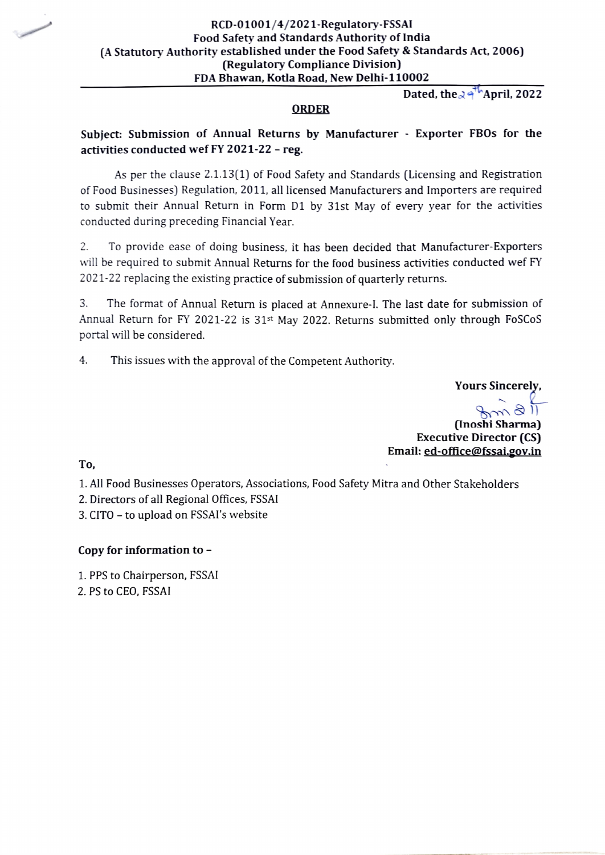## RCD-01001/4/2021-Regulatory-FSSAI Food Safety and Standards Authority of India (A Statutory Authority established under the Food Safety & Standards Act, 2006) (Regulatory Compliance Division) FDA Bhawan, Kotla Road, New Delhi-110002

Dated, the  $2^{4^h}$ April, 2022

## ORDER

Subject: Submission of Annual Returns by Manufacturer - Exporter FBOs for the activities conducted wef FY 2021-22 - reg.

As per the clause 2.1.13(1) of Food Safety and Standards (Licensing and Registration of Food Businesses) Regulation, 2011, all licensed Manufacturers and Importers are required to submit their Annual Return in Form D1 by 31st May of every year for the activities conducted during preceding Financial Year

2. To provide ease of doing business, it has been decided that Manufacturer-Exporters will be required to submit Annual Returns for the food business activities conducted wef FY 2021-22 replacing the existing practice of submission of quarterly returns.

The format of Annual Return is placed at Annexure-I. The last date for submission of Annual Return for FY 2021-22 is 31st May 2022. Returns submitted only through FoSCoS portal will be considered. 3.

4. This issues with the approval of the Competent Authority.

Yours Sincerely,

(Inoshi Sharma) Executive Director (CS) Email: ed-office@fssaigov.in

To,

1. All Food Businesses Operators, Associations, Food Safety Mitra and Other Stakeholders

2. Directors of all Regional Offices, FSSAI

3. CITO - to upload on FSSAI's website

## Copy for information to-

1. PPS to Chairperson, FSSAI

2. PS to CEO, FSSAI